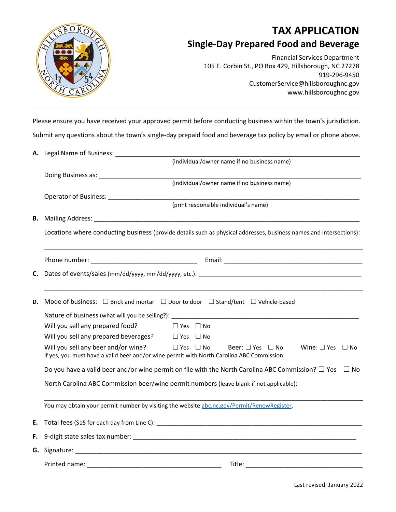

## **TAX APPLICATION Single-Day Prepared Food and Beverage**

Financial Services Department 105 E. Corbin St., PO Box 429, Hillsborough, NC 27278 919-296-9450 CustomerService@hillsboroughnc.gov www.hillsboroughnc.gov

Please ensure you have received your approved permit before conducting business within the town's jurisdiction. Submit any questions about the town's single-day prepaid food and beverage tax policy by email or phone above.

|    | (individual/owner name if no business name)                                                                                                                                                                                   |
|----|-------------------------------------------------------------------------------------------------------------------------------------------------------------------------------------------------------------------------------|
|    |                                                                                                                                                                                                                               |
|    | (individual/owner name if no business name)                                                                                                                                                                                   |
|    |                                                                                                                                                                                                                               |
|    | (print responsible individual's name)                                                                                                                                                                                         |
| В. |                                                                                                                                                                                                                               |
|    | Locations where conducting business (provide details such as physical addresses, business names and intersections):                                                                                                           |
|    |                                                                                                                                                                                                                               |
| C. |                                                                                                                                                                                                                               |
|    |                                                                                                                                                                                                                               |
| D. | Mode of business: $\Box$ Brick and mortar $\Box$ Door to door $\Box$ Stand/tent $\Box$ Vehicle-based                                                                                                                          |
|    | Will you sell any prepared food?<br>$\Box$ Yes $\Box$ No                                                                                                                                                                      |
|    | Will you sell any prepared beverages? $\square$ Yes $\square$ No                                                                                                                                                              |
|    | Will you sell any beer and/or wine?<br>$\Box$ Yes $\Box$ No<br>Beer: $\square$ Yes $\square$ No<br>Wine: $\Box$ Yes $\Box$ No<br>If yes, you must have a valid beer and/or wine permit with North Carolina ABC Commission.    |
|    | Do you have a valid beer and/or wine permit on file with the North Carolina ABC Commission? $\square$ Yes<br>∣ ∣No                                                                                                            |
|    | North Carolina ABC Commission beer/wine permit numbers (leave blank if not applicable):                                                                                                                                       |
|    | You may obtain your permit number by visiting the website abc.nc.gov/Permit/RenewRegister.                                                                                                                                    |
| Е. |                                                                                                                                                                                                                               |
| F. |                                                                                                                                                                                                                               |
|    | G. Signature: Weblater and Contract and Contract and Contract and Contract and Contract and Contract and Contract and Contract and Contract and Contract and Contract and Contract and Contract and Contract and Contract and |
|    | Title:<br>Printed name:                                                                                                                                                                                                       |